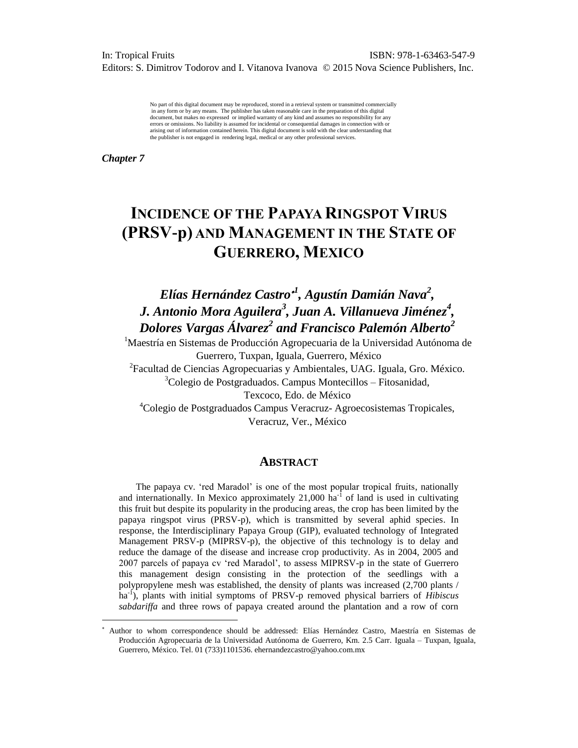No part of this digital document may be reproduced, stored in a retrieval system or transmitted commercially in any form or by any means. The publisher has taken reasonable care in the preparation of this digital document, but makes no expressed or implied warranty of any kind and assumes no responsibility for any errors or omissions. No liability is assumed for incidental or consequential damages in connection with or arising out of information contained herein. This digital document is sold with the clear understanding that the publisher is not engaged in rendering legal, medical or any other professional services.

*Chapter 7* 

 $\overline{a}$ 

# **INCIDENCE OF THE PAPAYA RINGSPOT VIRUS (PRSV-p) AND MANAGEMENT IN THE STATE OF GUERRERO, MEXICO**

# *Elías Hernández Castro<sup>1</sup> , Agustín Damián Nava<sup>2</sup> , J. Antonio Mora Aguilera<sup>3</sup> , Juan A. Villanueva Jiménez<sup>4</sup> , Dolores Vargas Álvarez<sup>2</sup> and Francisco Palemón Alberto<sup>2</sup>*

<sup>1</sup>Maestría en Sistemas de Producción Agropecuaria de la Universidad Autónoma de Guerrero, Tuxpan, Iguala, Guerrero, México

2 Facultad de Ciencias Agropecuarias y Ambientales, UAG. Iguala, Gro. México. <sup>3</sup>Colegio de Postgraduados. Campus Montecillos – Fitosanidad,

Texcoco, Edo. de México

<sup>4</sup>Colegio de Postgraduados Campus Veracruz- Agroecosistemas Tropicales, Veracruz, Ver., México

# **ABSTRACT**

The papaya cv. 'red Maradol' is one of the most popular tropical fruits, nationally and internationally. In Mexico approximately  $21,000$  ha<sup>-1</sup> of land is used in cultivating this fruit but despite its popularity in the producing areas, the crop has been limited by the papaya ringspot virus (PRSV-p), which is transmitted by several aphid species. In response, the Interdisciplinary Papaya Group (GIP), evaluated technology of Integrated Management PRSV-p (MIPRSV-p), the objective of this technology is to delay and reduce the damage of the disease and increase crop productivity. As in 2004, 2005 and 2007 parcels of papaya cv ‗red Maradol', to assess MIPRSV-p in the state of Guerrero this management design consisting in the protection of the seedlings with a polypropylene mesh was established, the density of plants was increased (2,700 plants / ha<sup>-1</sup>), plants with initial symptoms of PRSV-p removed physical barriers of *Hibiscus sabdariffa* and three rows of papaya created around the plantation and a row of corn

<sup>×</sup>  Author to whom correspondence should be addressed: Elías Hernández Castro, Maestría en Sistemas de Producción Agropecuaria de la Universidad Autónoma de Guerrero, Km. 2.5 Carr. Iguala – Tuxpan, Iguala, Guerrero, México. Tel. 01 (733)1101536. ehernandezcastro@yahoo.com.mx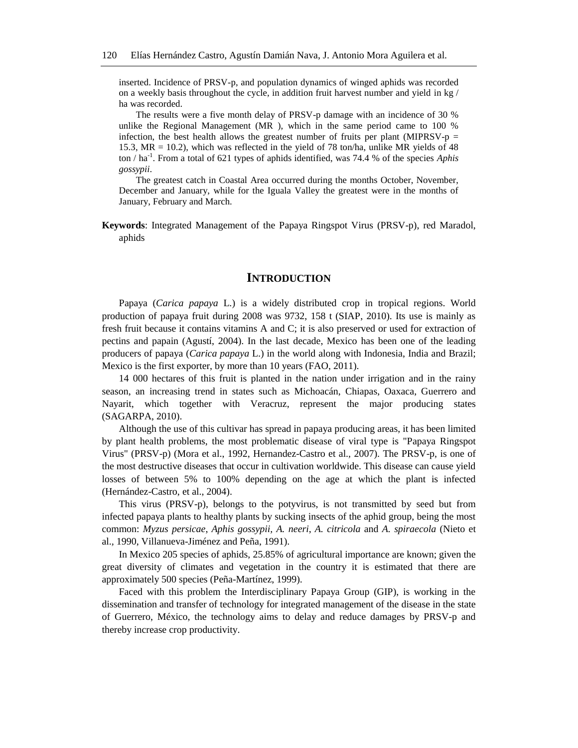inserted. Incidence of PRSV-p, and population dynamics of winged aphids was recorded on a weekly basis throughout the cycle, in addition fruit harvest number and yield in kg  $/$ ha was recorded.

The results were a five month delay of PRSV-p damage with an incidence of 30 % unlike the Regional Management (MR ), which in the same period came to 100 % infection, the best health allows the greatest number of fruits per plant (MIPRSV- $p =$ 15.3, MR = 10.2), which was reflected in the yield of 78 ton/ha, unlike MR yields of 48 ton / ha-1 . From a total of 621 types of aphids identified, was 74.4 % of the species *Aphis gossypii*.

The greatest catch in Coastal Area occurred during the months October, November, December and January, while for the Iguala Valley the greatest were in the months of January, February and March.

**Keywords**: Integrated Management of the Papaya Ringspot Virus (PRSV-p), red Maradol, aphids

# **INTRODUCTION**

Papaya (*Carica papaya* L.) is a widely distributed crop in tropical regions. World production of papaya fruit during 2008 was 9732, 158 t (SIAP, 2010). Its use is mainly as fresh fruit because it contains vitamins A and C; it is also preserved or used for extraction of pectins and papain (Agustí, 2004). In the last decade, Mexico has been one of the leading producers of papaya (*Carica papaya* L.) in the world along with Indonesia, India and Brazil; Mexico is the first exporter, by more than 10 years (FAO, 2011).

14 000 hectares of this fruit is planted in the nation under irrigation and in the rainy season, an increasing trend in states such as Michoacán, Chiapas, Oaxaca, Guerrero and Nayarit, which together with Veracruz, represent the major producing states (SAGARPA, 2010).

Although the use of this cultivar has spread in papaya producing areas, it has been limited by plant health problems, the most problematic disease of viral type is "Papaya Ringspot Virus" (PRSV-p) (Mora et al., 1992, Hernandez-Castro et al.*,* 2007). The PRSV-p, is one of the most destructive diseases that occur in cultivation worldwide. This disease can cause yield losses of between 5% to 100% depending on the age at which the plant is infected (Hernández-Castro, et al., 2004).

This virus (PRSV-p), belongs to the potyvirus, is not transmitted by seed but from infected papaya plants to healthy plants by sucking insects of the aphid group, being the most common: *Myzus persicae*, *Aphis gossypii, A. neeri*, *A. citricola* and *A. spiraecola* (Nieto et al.*,* 1990, Villanueva-Jiménez and Peña, 1991).

In Mexico 205 species of aphids, 25.85% of agricultural importance are known; given the great diversity of climates and vegetation in the country it is estimated that there are approximately 500 species (Peña-Martínez, 1999).

Faced with this problem the Interdisciplinary Papaya Group (GIP), is working in the dissemination and transfer of technology for integrated management of the disease in the state of Guerrero, México, the technology aims to delay and reduce damages by PRSV-p and thereby increase crop productivity.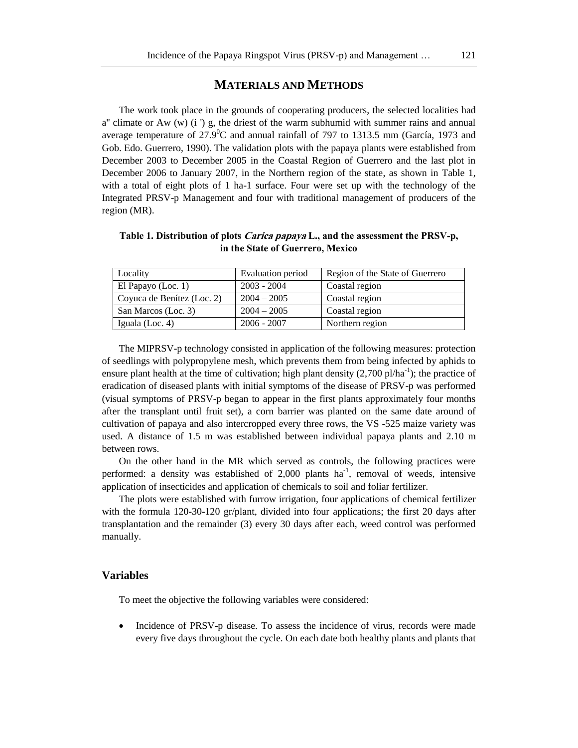# **MATERIALS AND METHODS**

The work took place in the grounds of cooperating producers, the selected localities had a" climate or Aw (w)  $(i')$  g, the driest of the warm subhumid with summer rains and annual average temperature of  $27.9^{\circ}$ C and annual rainfall of 797 to 1313.5 mm (García, 1973 and Gob. Edo. Guerrero, 1990). The validation plots with the papaya plants were established from December 2003 to December 2005 in the Coastal Region of Guerrero and the last plot in December 2006 to January 2007, in the Northern region of the state, as shown in Table 1, with a total of eight plots of 1 ha-1 surface. Four were set up with the technology of the Integrated PRSV-p Management and four with traditional management of producers of the region (MR).

| Table 1. Distribution of plots <i>Carica papaya</i> L., and the assessment the PRSV-p, |
|----------------------------------------------------------------------------------------|
| in the State of Guerrero, Mexico                                                       |

| Locality                   | Evaluation period | Region of the State of Guerrero |
|----------------------------|-------------------|---------------------------------|
| El Papayo $(Loc. 1)$       | $2003 - 2004$     | Coastal region                  |
| Coyuca de Benítez (Loc. 2) | $2004 - 2005$     | Coastal region                  |
| San Marcos (Loc. 3)        | $2004 - 2005$     | Coastal region                  |
| Iguala (Loc. 4)            | $2006 - 2007$     | Northern region                 |

The MIPRSV-p technology consisted in application of the following measures: protection of seedlings with polypropylene mesh, which prevents them from being infected by aphids to ensure plant health at the time of cultivation; high plant density  $(2,700 \text{ pl/ha}^{-1})$ ; the practice of eradication of diseased plants with initial symptoms of the disease of PRSV-p was performed (visual symptoms of PRSV-p began to appear in the first plants approximately four months after the transplant until fruit set), a corn barrier was planted on the same date around of cultivation of papaya and also intercropped every three rows, the VS -525 maize variety was used. A distance of 1.5 m was established between individual papaya plants and 2.10 m between rows.

On the other hand in the MR which served as controls, the following practices were performed: a density was established of  $2,000$  plants ha<sup>-1</sup>, removal of weeds, intensive application of insecticides and application of chemicals to soil and foliar fertilizer.

The plots were established with furrow irrigation, four applications of chemical fertilizer with the formula 120-30-120 gr/plant, divided into four applications; the first 20 days after transplantation and the remainder (3) every 30 days after each, weed control was performed manually.

#### **Variables**

To meet the objective the following variables were considered:

• Incidence of PRSV-p disease. To assess the incidence of virus, records were made every five days throughout the cycle. On each date both healthy plants and plants that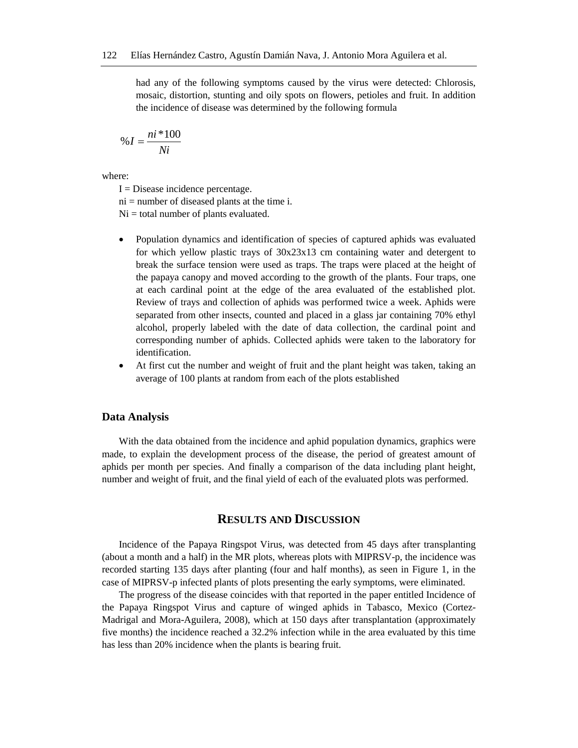had any of the following symptoms caused by the virus were detected: Chlorosis, mosaic, distortion, stunting and oily spots on flowers, petioles and fruit. In addition the incidence of disease was determined by the following formula

$$
\%I = \frac{ni * 100}{Ni}
$$

where:

 $I = Dise$  incidence percentage.  $ni = number of diseased plants at the time i.$ 

 $Ni = total number of plants evaluated.$ 

- Population dynamics and identification of species of captured aphids was evaluated for which yellow plastic trays of 30x23x13 cm containing water and detergent to break the surface tension were used as traps. The traps were placed at the height of the papaya canopy and moved according to the growth of the plants. Four traps, one at each cardinal point at the edge of the area evaluated of the established plot. Review of trays and collection of aphids was performed twice a week. Aphids were separated from other insects, counted and placed in a glass jar containing 70% ethyl alcohol, properly labeled with the date of data collection, the cardinal point and corresponding number of aphids. Collected aphids were taken to the laboratory for identification.
- At first cut the number and weight of fruit and the plant height was taken, taking an average of 100 plants at random from each of the plots established

#### **Data Analysis**

With the data obtained from the incidence and aphid population dynamics, graphics were made, to explain the development process of the disease, the period of greatest amount of aphids per month per species. And finally a comparison of the data including plant height, number and weight of fruit, and the final yield of each of the evaluated plots was performed.

# **RESULTS AND DISCUSSION**

Incidence of the Papaya Ringspot Virus, was detected from 45 days after transplanting (about a month and a half) in the MR plots, whereas plots with MIPRSV-p, the incidence was recorded starting 135 days after planting (four and half months), as seen in Figure 1, in the case of MIPRSV-p infected plants of plots presenting the early symptoms, were eliminated.

The progress of the disease coincides with that reported in the paper entitled Incidence of the Papaya Ringspot Virus and capture of winged aphids in Tabasco, Mexico (Cortez-Madrigal and Mora-Aguilera, 2008), which at 150 days after transplantation (approximately five months) the incidence reached a 32.2% infection while in the area evaluated by this time has less than 20% incidence when the plants is bearing fruit.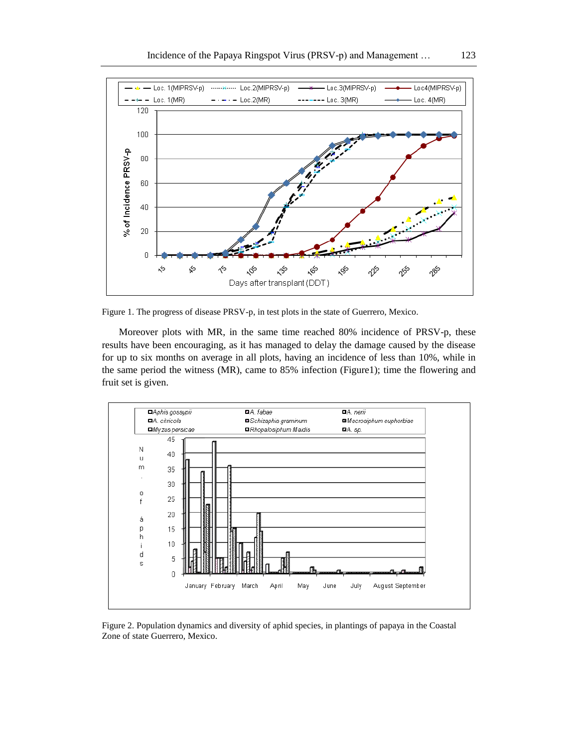

Figure 1. The progress of disease PRSV-p, in test plots in the state of Guerrero, Mexico.

Moreover plots with MR, in the same time reached 80% incidence of PRSV-p, these results have been encouraging, as it has managed to delay the damage caused by the disease for up to six months on average in all plots, having an incidence of less than 10%, while in the same period the witness (MR), came to 85% infection (Figure1); time the flowering and fruit set is given.



Figure 2. Population dynamics and diversity of aphid species, in plantings of papaya in the Coastal Zone of state Guerrero, Mexico.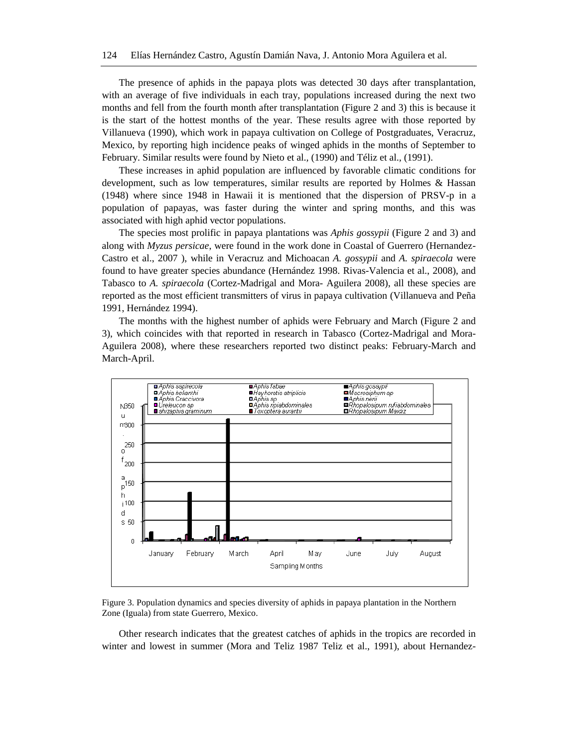The presence of aphids in the papaya plots was detected 30 days after transplantation, with an average of five individuals in each tray, populations increased during the next two months and fell from the fourth month after transplantation (Figure 2 and 3) this is because it is the start of the hottest months of the year. These results agree with those reported by Villanueva (1990), which work in papaya cultivation on College of Postgraduates, Veracruz, Mexico, by reporting high incidence peaks of winged aphids in the months of September to February. Similar results were found by Nieto et al.*,* (1990) and Téliz et al.*,* (1991).

These increases in aphid population are influenced by favorable climatic conditions for development, such as low temperatures, similar results are reported by Holmes & Hassan (1948) where since 1948 in Hawaii it is mentioned that the dispersion of PRSV-p in a population of papayas, was faster during the winter and spring months, and this was associated with high aphid vector populations.

The species most prolific in papaya plantations was *Aphis gossypii* (Figure 2 and 3) and along with *Myzus persicae*, were found in the work done in Coastal of Guerrero (Hernandez-Castro et al., 2007 ), while in Veracruz and Michoacan *A. gossypii* and *A. spiraecola* were found to have greater species abundance (Hernández 1998. Rivas-Valencia et al., 2008), and Tabasco to *A. spiraecola* (Cortez-Madrigal and Mora- Aguilera 2008), all these species are reported as the most efficient transmitters of virus in papaya cultivation (Villanueva and Peña 1991, Hernández 1994).

The months with the highest number of aphids were February and March (Figure 2 and 3), which coincides with that reported in research in Tabasco (Cortez-Madrigal and Mora-Aguilera 2008), where these researchers reported two distinct peaks: February-March and March-April.



Figure 3. Population dynamics and species diversity of aphids in papaya plantation in the Northern Zone (Iguala) from state Guerrero, Mexico.

Other research indicates that the greatest catches of aphids in the tropics are recorded in winter and lowest in summer (Mora and Teliz 1987 Teliz et al., 1991), about Hernandez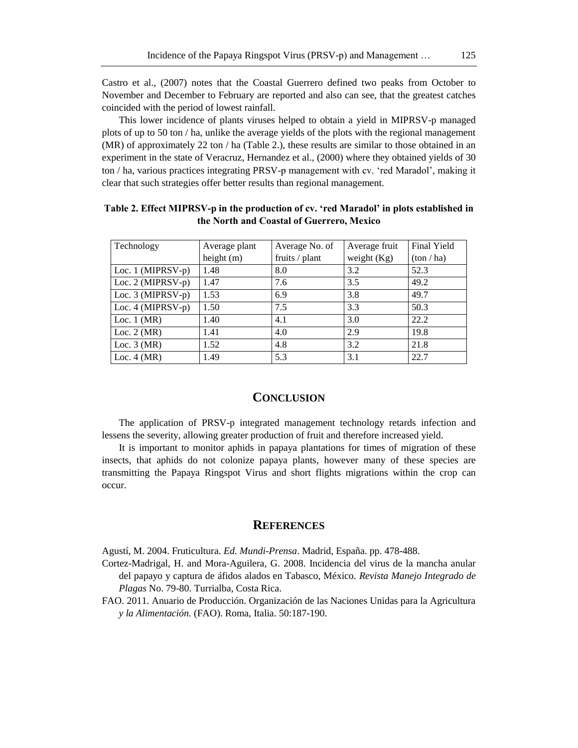Castro et al., (2007) notes that the Coastal Guerrero defined two peaks from October to November and December to February are reported and also can see, that the greatest catches coincided with the period of lowest rainfall.

This lower incidence of plants viruses helped to obtain a yield in MIPRSV-p managed plots of up to 50 ton / ha, unlike the average yields of the plots with the regional management (MR) of approximately 22 ton / ha (Table 2.), these results are similar to those obtained in an experiment in the state of Veracruz, Hernandez et al.*,* (2000) where they obtained yields of 30 ton / ha, various practices integrating PRSV-p management with cv. 'red Maradol', making it clear that such strategies offer better results than regional management.

| Technology            | Average plant | Average No. of | Average fruit | Final Yield              |
|-----------------------|---------------|----------------|---------------|--------------------------|
|                       | height $(m)$  | fruits / plant | weight $(Kg)$ | $(\text{ton}/\text{ha})$ |
| Loc. 1 ( $MIPRSV-p$ ) | 1.48          | 8.0            | 3.2           | 52.3                     |
| Loc. 2 (MIPRSV- $p$ ) | 1.47          | 7.6            | 3.5           | 49.2                     |
| Loc. 3 (MIPRSV-p)     | 1.53          | 6.9            | 3.8           | 49.7                     |
| Loc. 4 (MIPRSV-p)     | 1.50          | 7.5            | 3.3           | 50.3                     |
| Loc. $1$ (MR)         | 1.40          | 4.1            | 3.0           | 22.2                     |
| Loc. $2$ (MR)         | 1.41          | 4.0            | 2.9           | 19.8                     |
| Loc. $3$ (MR)         | 1.52          | 4.8            | 3.2           | 21.8                     |
| Loc. $4$ (MR)         | 1.49          | 5.3            | 3.1           | 22.7                     |

**Table 2. Effect MIPRSV-p in the production of cv. 'red Maradol' in plots established in the North and Coastal of Guerrero, Mexico**

#### **CONCLUSION**

The application of PRSV-p integrated management technology retards infection and lessens the severity, allowing greater production of fruit and therefore increased yield.

It is important to monitor aphids in papaya plantations for times of migration of these insects, that aphids do not colonize papaya plants, however many of these species are transmitting the Papaya Ringspot Virus and short flights migrations within the crop can occur.

## **REFERENCES**

Agustí, M. 2004. Fruticultura. *Ed. Mundi-Prensa*. Madrid, España. pp. 478-488.

- Cortez-Madrigal, H. and Mora-Aguilera, G. 2008. Incidencia del virus de la mancha anular del papayo y captura de áfidos alados en Tabasco, México. *Revista Manejo Integrado de Plagas* No. 79-80. Turrialba, Costa Rica.
- FAO. 2011. Anuario de Producción. Organización de las Naciones Unidas para la Agricultura *y la Alimentación.* (FAO). Roma, Italia. 50:187-190.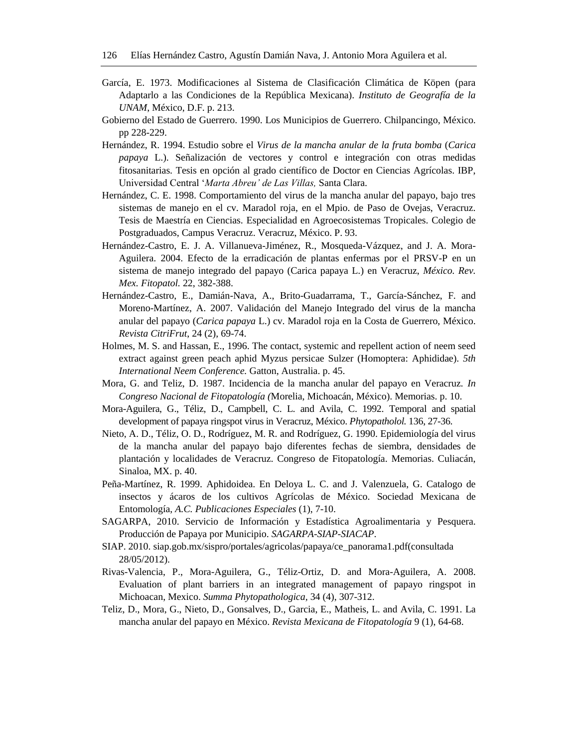- García, E. 1973. Modificaciones al Sistema de Clasificación Climática de Köpen (para Adaptarlo a las Condiciones de la República Mexicana). *Instituto de Geografía de la UNAM*, México, D.F. p. 213.
- Gobierno del Estado de Guerrero. 1990. Los Municipios de Guerrero. Chilpancingo, México. pp 228-229.
- Hernández, R. 1994. Estudio sobre el *Virus de la mancha anular de la fruta bomba* (*Carica papaya* L.). Señalización de vectores y control e integración con otras medidas fitosanitarias. Tesis en opción al grado científico de Doctor en Ciencias Agrícolas. IBP, Universidad Central ‗*Marta Abreu' de Las Villas,* Santa Clara.
- Hernández, C. E. 1998. Comportamiento del virus de la mancha anular del papayo, bajo tres sistemas de manejo en el cv. Maradol roja, en el Mpio. de Paso de Ovejas, Veracruz. Tesis de Maestría en Ciencias. Especialidad en Agroecosistemas Tropicales. Colegio de Postgraduados, Campus Veracruz. Veracruz, México. P. 93.
- Hernández-Castro, E. J. A. Villanueva-Jiménez, R., Mosqueda-Vázquez, and J. A. Mora-Aguilera. 2004. Efecto de la erradicación de plantas enfermas por el PRSV-P en un sistema de manejo integrado del papayo (Carica papaya L.) en Veracruz, *México. Rev. Mex. Fitopatol.* 22, 382-388.
- Hernández-Castro, E., Damián-Nava, A., Brito-Guadarrama, T., García-Sánchez, F. and Moreno-Martínez, A. 2007. Validación del Manejo Integrado del virus de la mancha anular del papayo (*Carica papaya* L.) cv. Maradol roja en la Costa de Guerrero, México. *Revista CitriFrut*, 24 (2), 69-74.
- Holmes, M. S. and Hassan, E., 1996. The contact, systemic and repellent action of neem seed extract against green peach aphid Myzus persicae Sulzer (Homoptera: Aphididae). *5th International Neem Conference.* Gatton, Australia. p. 45.
- Mora, G. and Teliz, D. 1987. Incidencia de la mancha anular del papayo en Veracruz*. In Congreso Nacional de Fitopatología (*Morelia, Michoacán, México). Memorias. p. 10.
- Mora-Aguilera, G., Téliz, D., Campbell, C. L. and Avila, C. 1992. Temporal and spatial development of papaya ringspot virus in Veracruz, México. *Phytopatholol.* 136, 27-36.
- Nieto, A. D., Téliz, O. D., Rodríguez, M. R. and Rodríguez, G. 1990. Epidemiología del virus de la mancha anular del papayo bajo diferentes fechas de siembra, densidades de plantación y localidades de Veracruz. Congreso de Fitopatología. Memorias. Culiacán, Sinaloa, MX. p. 40.
- Peña-Martínez, R. 1999. Aphidoidea. En Deloya L. C. and J. Valenzuela, G. Catalogo de insectos y ácaros de los cultivos Agrícolas de México. Sociedad Mexicana de Entomología, *A.C. Publicaciones Especiales* (1), 7-10.
- SAGARPA, 2010. Servicio de Información y Estadística Agroalimentaria y Pesquera. Producción de Papaya por Municipio. *SAGARPA-SIAP-SIACAP*.
- SIAP. 2010. siap.gob.mx/sispro/portales/agricolas/papaya/ce\_panorama1.pdf(consultada 28/05/2012).
- Rivas-Valencia, P., Mora-Aguilera, G., Téliz-Ortiz, D. and Mora-Aguilera, A. 2008. Evaluation of plant barriers in an integrated management of papayo ringspot in Michoacan, Mexico. *Summa Phytopathologica,* 34 (4), 307-312.
- Teliz, D., Mora, G., Nieto, D., Gonsalves, D., Garcia, E., Matheis, L. and Avila, C. 1991. La mancha anular del papayo en México. *Revista Mexicana de Fitopatología* 9 (1), 64-68.